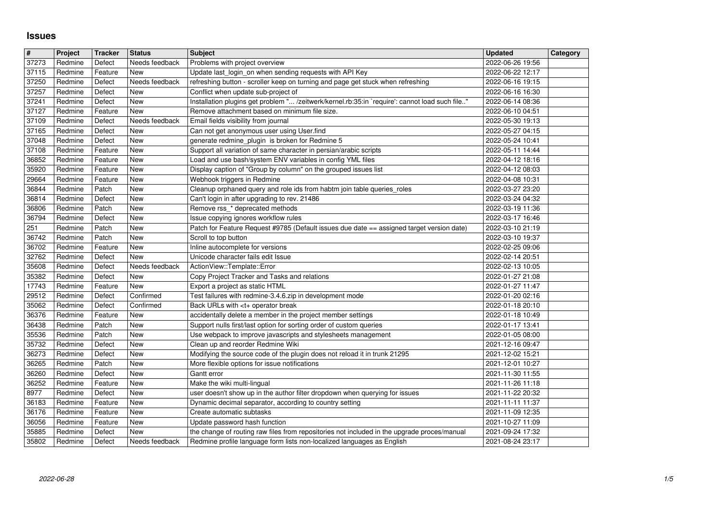## **Issues**

| $\overline{\mathbf{H}}$ | Project            | <b>Tracker</b>     | <b>Status</b>            | <b>Subject</b>                                                                                                                                                          | <b>Updated</b>                       | Category |
|-------------------------|--------------------|--------------------|--------------------------|-------------------------------------------------------------------------------------------------------------------------------------------------------------------------|--------------------------------------|----------|
| 37273<br>37115          | Redmine<br>Redmine | Defect<br>Feature  | Needs feedback<br>New    | Problems with project overview<br>Update last_login_on when sending requests with API Key                                                                               | 2022-06-26 19:56<br>2022-06-22 12:17 |          |
| 37250                   | Redmine            | Defect             | Needs feedback           | refreshing button - scroller keep on turning and page get stuck when refreshing                                                                                         | 2022-06-16 19:15                     |          |
| 37257                   | Redmine            | Defect             | New                      | Conflict when update sub-project of                                                                                                                                     | 2022-06-16 16:30                     |          |
| 37241<br>37127          | Redmine<br>Redmine | Defect<br>Feature  | New<br>New               | Installation plugins get problem " /zeitwerk/kernel.rb:35:in `require': cannot load such file"<br>Remove attachment based on minimum file size.                         | 2022-06-14 08:36<br>2022-06-10 04:51 |          |
| 37109                   | Redmine            | Defect             | Needs feedback           | Email fields visibility from journal                                                                                                                                    | 2022-05-30 19:13                     |          |
| 37165                   | Redmine            | Defect             | New                      | Can not get anonymous user using User.find                                                                                                                              | 2022-05-27 04:15                     |          |
| 37048<br>37108          | Redmine<br>Redmine | Defect<br>Feature  | New<br>New               | generate redmine_plugin is broken for Redmine 5<br>Support all variation of same character in persian/arabic scripts                                                    | 2022-05-24 10:41<br>2022-05-11 14:44 |          |
| 36852                   | Redmine            | Feature            | <b>New</b>               | Load and use bash/system ENV variables in config YML files                                                                                                              | 2022-04-12 18:16                     |          |
| 35920                   | Redmine            | Feature            | <b>New</b>               | Display caption of "Group by column" on the grouped issues list                                                                                                         | 2022-04-12 08:03                     |          |
| 29664<br>36844          | Redmine<br>Redmine | Feature<br>Patch   | New<br>New               | Webhook triggers in Redmine<br>Cleanup orphaned query and role ids from habtm join table queries_roles                                                                  | 2022-04-08 10:31<br>2022-03-27 23:20 |          |
| 36814                   | Redmine            | Defect             | New                      | Can't login in after upgrading to rev. 21486                                                                                                                            | 2022-03-24 04:32                     |          |
| 36806                   | Redmine            | Patch              | New                      | Remove rss_* deprecated methods                                                                                                                                         | 2022-03-19 11:36                     |          |
| 36794<br>251            | Redmine<br>Redmine | Defect<br>Patch    | New<br>New               | Issue copying ignores workflow rules<br>Patch for Feature Request #9785 (Default issues due date == assigned target version date)                                       | 2022-03-17 16:46<br>2022-03-10 21:19 |          |
| 36742                   | Redmine            | Patch              | New                      | Scroll to top button                                                                                                                                                    | 2022-03-10 19:37                     |          |
| 36702                   | Redmine            | Feature            | New                      | Inline autocomplete for versions                                                                                                                                        | 2022-02-25 09:06                     |          |
| 32762<br>35608          | Redmine<br>Redmine | Defect<br>Defect   | New<br>Needs feedback    | Unicode character fails edit Issue<br>ActionView::Template::Error                                                                                                       | 2022-02-14 20:51<br>2022-02-13 10:05 |          |
| 35382                   | Redmine            | Defect             | New                      | Copy Project Tracker and Tasks and relations                                                                                                                            | 2022-01-27 21:08                     |          |
| 17743                   | Redmine            | Feature            | New                      | Export a project as static HTML                                                                                                                                         | 2022-01-27 11:47                     |          |
| 29512<br>35062          | Redmine<br>Redmine | Defect<br>Defect   | Confirmed<br>Confirmed   | Test failures with redmine-3.4.6.zip in development mode<br>Back URLs with <t+ break<="" operator="" td=""><td>2022-01-20 02:16<br/>2022-01-18 20:10</td><td></td></t+> | 2022-01-20 02:16<br>2022-01-18 20:10 |          |
| 36376                   | Redmine            | Feature            | <b>New</b>               | accidentally delete a member in the project member settings                                                                                                             | 2022-01-18 10:49                     |          |
| 36438                   | Redmine            | Patch              | New                      | Support nulls first/last option for sorting order of custom queries                                                                                                     | 2022-01-17 13:41                     |          |
| 35536<br>35732          | Redmine<br>Redmine | Patch<br>Defect    | <b>New</b><br><b>New</b> | Use webpack to improve javascripts and stylesheets management<br>Clean up and reorder Redmine Wiki                                                                      | 2022-01-05 08:00<br>2021-12-16 09:47 |          |
| 36273                   | Redmine            | Defect             | New                      | Modifying the source code of the plugin does not reload it in trunk 21295                                                                                               | 2021-12-02 15:21                     |          |
| 36265                   | Redmine            | Patch              | New                      | More flexible options for issue notifications                                                                                                                           | 2021-12-01 10:27                     |          |
| 36260<br>36252          | Redmine<br>Redmine | Defect<br>Feature  | New<br>New               | Gantt error<br>Make the wiki multi-lingual                                                                                                                              | 2021-11-30 11:55<br>2021-11-26 11:18 |          |
| 8977                    | Redmine            | Defect             | New                      | user doesn't show up in the author filter dropdown when querying for issues                                                                                             | 2021-11-22 20:32                     |          |
| 36183                   | Redmine            | Feature            | <b>New</b>               | Dynamic decimal separator, according to country setting                                                                                                                 | 2021-11-11 11:37                     |          |
| 36176<br>36056          | Redmine<br>Redmine | Feature<br>Feature | New<br><b>New</b>        | Create automatic subtasks<br>Update password hash function                                                                                                              | 2021-11-09 12:35<br>2021-10-27 11:09 |          |
| 35885                   | Redmine            | Defect             | New                      | the change of routing raw files from repositories not included in the upgrade proces/manual                                                                             | 2021-09-24 17:32                     |          |
| 35802                   | Redmine            | Defect             | Needs feedback           | Redmine profile language form lists non-localized languages as English                                                                                                  | 2021-08-24 23:17                     |          |
|                         |                    |                    |                          |                                                                                                                                                                         |                                      |          |
|                         |                    |                    |                          |                                                                                                                                                                         |                                      |          |
|                         |                    |                    |                          |                                                                                                                                                                         |                                      |          |
|                         |                    |                    |                          |                                                                                                                                                                         |                                      |          |
|                         |                    |                    |                          |                                                                                                                                                                         |                                      |          |
|                         |                    |                    |                          |                                                                                                                                                                         |                                      |          |
|                         |                    |                    |                          |                                                                                                                                                                         |                                      |          |
|                         |                    |                    |                          |                                                                                                                                                                         |                                      |          |
|                         |                    |                    |                          |                                                                                                                                                                         |                                      |          |
|                         |                    |                    |                          |                                                                                                                                                                         |                                      |          |
|                         |                    |                    |                          |                                                                                                                                                                         |                                      |          |
|                         |                    |                    |                          |                                                                                                                                                                         |                                      |          |
|                         |                    |                    |                          |                                                                                                                                                                         |                                      |          |
|                         |                    |                    |                          |                                                                                                                                                                         |                                      |          |
|                         |                    |                    |                          |                                                                                                                                                                         |                                      |          |
|                         |                    |                    |                          |                                                                                                                                                                         |                                      |          |
|                         |                    |                    |                          |                                                                                                                                                                         |                                      |          |
|                         |                    |                    |                          |                                                                                                                                                                         |                                      |          |
|                         |                    |                    |                          |                                                                                                                                                                         |                                      |          |
|                         |                    |                    |                          |                                                                                                                                                                         |                                      |          |
|                         |                    |                    |                          |                                                                                                                                                                         |                                      |          |
|                         |                    |                    |                          |                                                                                                                                                                         |                                      |          |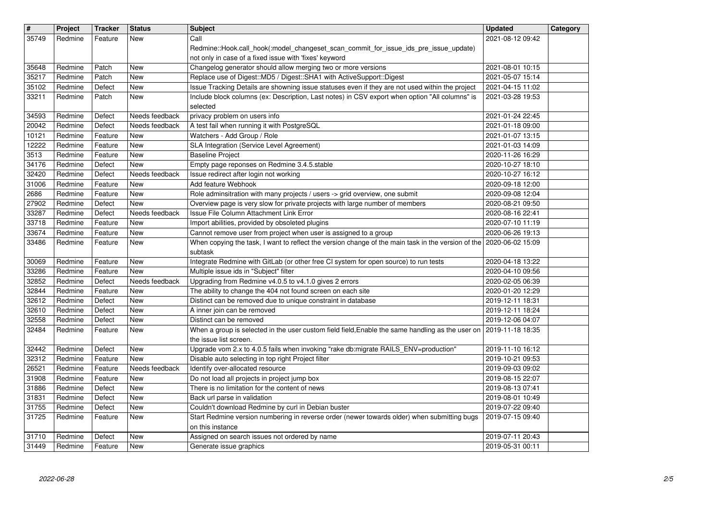| #              | Project            | <b>Tracker</b>     | <b>Status</b>         | <b>Subject</b>                                                                                                                                                             | <b>Updated</b>                       | Category |
|----------------|--------------------|--------------------|-----------------------|----------------------------------------------------------------------------------------------------------------------------------------------------------------------------|--------------------------------------|----------|
| 35749          | Redmine            | Feature            | New                   | Call<br>Redmine::Hook.call_hook(:model_changeset_scan_commit_for_issue_ids_pre_issue_update)                                                                               | 2021-08-12 09:42                     |          |
|                |                    |                    |                       | not only in case of a fixed issue with 'fixes' keyword                                                                                                                     |                                      |          |
| 35648          | Redmine            | Patch              | New                   | Changelog generator should allow merging two or more versions                                                                                                              | 2021-08-01 10:15                     |          |
| 35217<br>35102 | Redmine<br>Redmine | Patch<br>Defect    | New<br>New            | Replace use of Digest:: MD5 / Digest:: SHA1 with ActiveSupport:: Digest<br>Issue Tracking Details are showning issue statuses even if they are not used within the project | 2021-05-07 15:14<br>2021-04-15 11:02 |          |
| 33211          | Redmine            | Patch              | New                   | Include block columns (ex: Description, Last notes) in CSV export when option "All columns" is                                                                             | 2021-03-28 19:53                     |          |
| 34593          | Redmine            |                    | Needs feedback        | selected<br>privacy problem on users info                                                                                                                                  | 2021-01-24 22:45                     |          |
| 20042          | Redmine            | Defect<br>Defect   | Needs feedback        | A test fail when running it with PostgreSQL                                                                                                                                | 2021-01-18 09:00                     |          |
| 10121          | Redmine            | Feature            | New                   | Watchers - Add Group / Role                                                                                                                                                | 2021-01-07 13:15                     |          |
| 12222<br>3513  | Redmine<br>Redmine | Feature<br>Feature | New<br>New            | SLA Integration (Service Level Agreement)<br><b>Baseline Project</b>                                                                                                       | 2021-01-03 14:09<br>2020-11-26 16:29 |          |
| 34176          | Redmine            | Defect             | New                   | Empty page reponses on Redmine 3.4.5.stable                                                                                                                                | 2020-10-27 18:10                     |          |
| 32420          | Redmine            | Defect             | Needs feedback        | Issue redirect after login not working<br>Add feature Webhook                                                                                                              | 2020-10-27 16:12                     |          |
| 31006<br>2686  | Redmine<br>Redmine | Feature<br>Feature | New<br>New            | Role adminsitration with many projects / users -> grid overview, one submit                                                                                                | 2020-09-18 12:00<br>2020-09-08 12:04 |          |
| 27902          | Redmine            | Defect             | New                   | Overview page is very slow for private projects with large number of members                                                                                               | 2020-08-21 09:50                     |          |
| 33287<br>33718 | Redmine<br>Redmine | Defect<br>Feature  | Needs feedback<br>New | Issue File Column Attachment Link Error<br>Import abilities, provided by obsoleted plugins                                                                                 | 2020-08-16 22:41<br>2020-07-10 11:19 |          |
| 33674          | Redmine            | Feature            | New                   | Cannot remove user from project when user is assigned to a group                                                                                                           | 2020-06-26 19:13                     |          |
| 33486          | Redmine            | Feature            | New                   | When copying the task, I want to reflect the version change of the main task in the version of the 2020-06-02 15:09<br>subtask                                             |                                      |          |
| 30069          | Redmine            | Feature            | New                   | Integrate Redmine with GitLab (or other free CI system for open source) to run tests                                                                                       | 2020-04-18 13:22                     |          |
| 33286          | Redmine            | Feature            | New                   | Multiple issue ids in "Subject" filter                                                                                                                                     | 2020-04-10 09:56                     |          |
| 32852<br>32844 | Redmine<br>Redmine | Defect<br>Feature  | Needs feedback<br>New | Upgrading from Redmine v4.0.5 to v4.1.0 gives 2 errors<br>The ability to change the 404 not found screen on each site                                                      | 2020-02-05 06:39<br>2020-01-20 12:29 |          |
| 32612          | Redmine            | Defect             | New                   | Distinct can be removed due to unique constraint in database                                                                                                               | 2019-12-11 18:31                     |          |
| 32610<br>32558 | Redmine<br>Redmine | Defect<br>Defect   | New<br><b>New</b>     | A inner join can be removed<br>Distinct can be removed                                                                                                                     | 2019-12-11 18:24<br>2019-12-06 04:07 |          |
| 32484          | Redmine            | Feature            | New                   | When a group is selected in the user custom field field, Enable the same handling as the user on 2019-11-18 18:35                                                          |                                      |          |
| 32442          | Redmine            | Defect             | New                   | the issue list screen.<br>Upgrade vom 2.x to 4.0.5 fails when invoking "rake db:migrate RAILS_ENV=production"                                                              | 2019-11-10 16:12                     |          |
| 32312          | Redmine            | Feature            | New                   | Disable auto selecting in top right Project filter                                                                                                                         | 2019-10-21 09:53                     |          |
| 26521          | Redmine            | Feature            | Needs feedback        | Identify over-allocated resource                                                                                                                                           | 2019-09-03 09:02                     |          |
| 31908<br>31886 | Redmine<br>Redmine | Feature<br>Defect  | New<br>New            | Do not load all projects in project jump box<br>There is no limitation for the content of news                                                                             | 2019-08-15 22:07<br>2019-08-13 07:41 |          |
| 31831          | Redmine            | Defect             | New                   | Back url parse in validation                                                                                                                                               | 2019-08-01 10:49                     |          |
| 31755<br>31725 | Redmine<br>Redmine | Defect<br>Feature  | <b>New</b><br>New     | Couldn't download Redmine by curl in Debian buster<br>Start Redmine version numbering in reverse order (newer towards older) when submitting bugs                          | 2019-07-22 09:40<br>2019-07-15 09:40 |          |
|                |                    |                    |                       | on this instance                                                                                                                                                           |                                      |          |
| 31710<br>31449 | Redmine<br>Redmine | Defect<br>Feature  | New<br>New            | Assigned on search issues not ordered by name<br>Generate issue graphics                                                                                                   | 2019-07-11 20:43<br>2019-05-31 00:11 |          |
|                |                    |                    |                       |                                                                                                                                                                            |                                      |          |
|                |                    |                    |                       |                                                                                                                                                                            |                                      |          |
|                |                    |                    |                       |                                                                                                                                                                            |                                      |          |
|                |                    |                    |                       |                                                                                                                                                                            |                                      |          |
|                |                    |                    |                       |                                                                                                                                                                            |                                      |          |
|                |                    |                    |                       |                                                                                                                                                                            |                                      |          |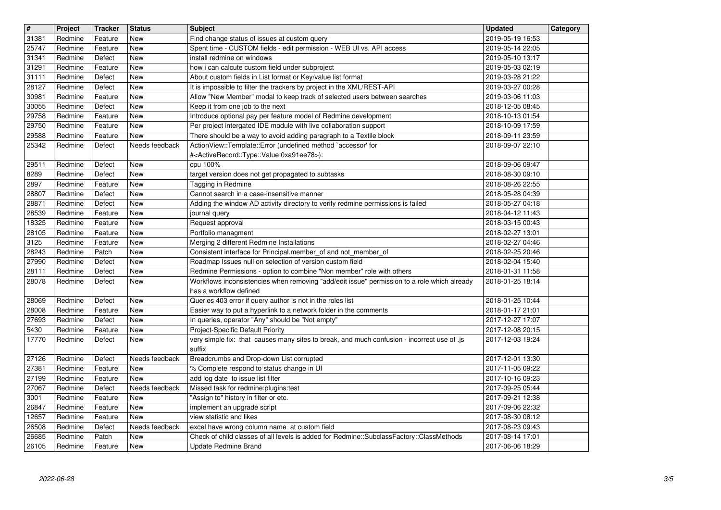| $\overline{\mathbf{H}}$ | Project<br>Redmine | <b>Tracker</b>     | <b>Status</b>         | <b>Subject</b>                                                                                                                                      | <b>Updated</b>                       | Category |
|-------------------------|--------------------|--------------------|-----------------------|-----------------------------------------------------------------------------------------------------------------------------------------------------|--------------------------------------|----------|
| 31381<br>25747          | Redmine            | Feature<br>Feature | New<br>New            | Find change status of issues at custom query<br>Spent time - CUSTOM fields - edit permission - WEB UI vs. API access                                | 2019-05-19 16:53<br>2019-05-14 22:05 |          |
| 31341<br>31291          | Redmine<br>Redmine | Defect<br>Feature  | New<br>New            | install redmine on windows<br>how i can calcute custom field under subproject                                                                       | 2019-05-10 13:17<br>2019-05-03 02:19 |          |
| 31111                   | Redmine            | Defect             | New                   | About custom fields in List format or Key/value list format                                                                                         | 2019-03-28 21:22                     |          |
| 28127<br>30981          | Redmine<br>Redmine | Defect<br>Feature  | New<br>New            | It is impossible to filter the trackers by project in the XML/REST-API<br>Allow "New Member" modal to keep track of selected users between searches | 2019-03-27 00:28<br>2019-03-06 11:03 |          |
| 30055                   | Redmine            | Defect             | New                   | Keep it from one job to the next                                                                                                                    | 2018-12-05 08:45                     |          |
| 29758<br>29750          | Redmine<br>Redmine | Feature<br>Feature | <b>New</b><br>New     | Introduce optional pay per feature model of Redmine development<br>Per project intergated IDE module with live collaboration support                | 2018-10-13 01:54<br>2018-10-09 17:59 |          |
| 29588                   | Redmine            | Feature            | New                   | There should be a way to avoid adding paragraph to a Textile block                                                                                  | 2018-09-11 23:59                     |          |
| 25342                   | Redmine            | Defect             | Needs feedback        | ActionView::Template::Error (undefined method `accessor' for<br># <activerecord::type::value:0xa91ee78>):</activerecord::type::value:0xa91ee78>     | 2018-09-07 22:10                     |          |
| 29511                   | Redmine            | Defect             | New                   | cpu 100%                                                                                                                                            | 2018-09-06 09:47                     |          |
| 8289<br>2897            | Redmine<br>Redmine | Defect<br>Feature  | <b>New</b><br>New     | target version does not get propagated to subtasks<br>Tagging in Redmine                                                                            | 2018-08-30 09:10<br>2018-08-26 22:55 |          |
| 28807                   | Redmine            | Defect             | <b>New</b>            | Cannot search in a case-insensitive manner                                                                                                          | 2018-05-28 04:39                     |          |
| 28871<br>28539          | Redmine<br>Redmine | Defect<br>Feature  | New<br>New            | Adding the window AD activity directory to verify redmine permissions is failed<br>journal query                                                    | 2018-05-27 04:18<br>2018-04-12 11:43 |          |
| 18325                   | Redmine            | Feature            | New                   | Request approval                                                                                                                                    | 2018-03-15 00:43                     |          |
| 28105<br>3125           | Redmine<br>Redmine | Feature<br>Feature | New<br><b>New</b>     | Portfolio managment<br>Merging 2 different Redmine Installations                                                                                    | 2018-02-27 13:01<br>2018-02-27 04:46 |          |
| 28243                   | Redmine            | Patch              | New                   | Consistent interface for Principal.member_of and not_member_of                                                                                      | 2018-02-25 20:46                     |          |
| 27990<br>28111          | Redmine<br>Redmine | Defect<br>Defect   | New<br>New            | Roadmap Issues null on selection of version custom field<br>Redmine Permissions - option to combine "Non member" role with others                   | 2018-02-04 15:40<br>2018-01-31 11:58 |          |
| 28078                   | Redmine            | Defect             | New                   | Workflows inconsistencies when removing "add/edit issue" permission to a role which already                                                         | 2018-01-25 18:14                     |          |
| 28069                   | Redmine            | Defect             | New                   | has a workflow defined<br>Queries 403 error if query author is not in the roles list                                                                | 2018-01-25 10:44                     |          |
| 28008                   | Redmine            | Feature            | New                   | Easier way to put a hyperlink to a network folder in the comments                                                                                   | 2018-01-17 21:01                     |          |
| 27693<br>5430           | Redmine<br>Redmine | Defect<br>Feature  | New<br><b>New</b>     | In queries, operator "Any" should be "Not empty"<br>Project-Specific Default Priority                                                               | 2017-12-27 17:07<br>2017-12-08 20:15 |          |
| 17770                   | Redmine            | Defect             | New                   | very simple fix: that causes many sites to break, and much confusion - incorrect use of .js                                                         | 2017-12-03 19:24                     |          |
| 27126                   | Redmine            | Defect             | Needs feedback        | suffix<br>Breadcrumbs and Drop-down List corrupted                                                                                                  | 2017-12-01 13:30                     |          |
| 27381                   | Redmine            | Feature            | New                   | % Complete respond to status change in UI                                                                                                           | 2017-11-05 09:22                     |          |
| 27199<br>27067          | Redmine<br>Redmine | Feature<br>Defect  | New<br>Needs feedback | add log date to issue list filter<br>Missed task for redmine: plugins: test                                                                         | 2017-10-16 09:23<br>2017-09-25 05:44 |          |
| 3001                    | Redmine            | Feature            | New                   | "Assign to" history in filter or etc.                                                                                                               | 2017-09-21 12:38                     |          |
| 26847<br>12657          | Redmine<br>Redmine | Feature<br>Feature | $\vert$ New<br>New    | implement an upgrade script<br>view statistic and likes                                                                                             | 2017-09-06 22:32<br>2017-08-30 08:12 |          |
| 26508                   | Redmine            | Defect             | Needs feedback        | excel have wrong column name at custom field                                                                                                        | 2017-08-23 09:43                     |          |
| 26685<br>26105          | Redmine<br>Redmine | Patch<br>Feature   | New<br>New            | Check of child classes of all levels is added for Redmine::SubclassFactory::ClassMethods<br>Update Redmine Brand                                    | 2017-08-14 17:01<br>2017-06-06 18:29 |          |
|                         |                    |                    |                       |                                                                                                                                                     |                                      |          |
|                         |                    |                    |                       |                                                                                                                                                     |                                      |          |
|                         |                    |                    |                       |                                                                                                                                                     |                                      |          |
|                         |                    |                    |                       |                                                                                                                                                     |                                      |          |
|                         |                    |                    |                       |                                                                                                                                                     |                                      |          |
|                         |                    |                    |                       |                                                                                                                                                     |                                      |          |
|                         |                    |                    |                       |                                                                                                                                                     |                                      |          |
|                         |                    |                    |                       |                                                                                                                                                     |                                      |          |
|                         |                    |                    |                       |                                                                                                                                                     |                                      |          |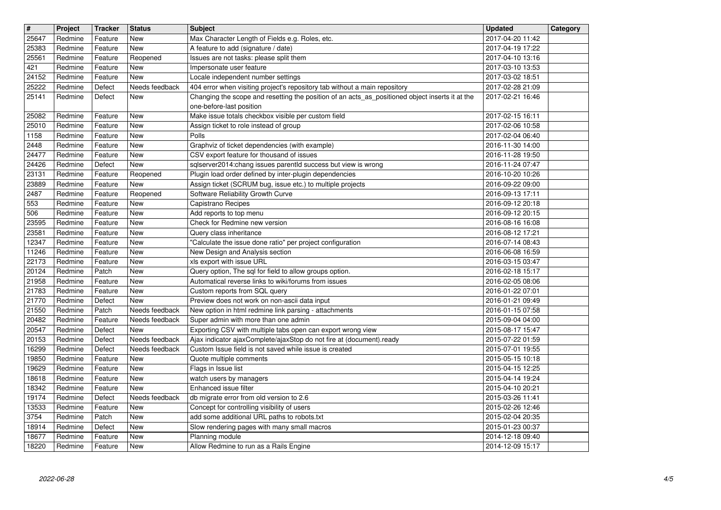| $\overline{\mathbf{H}}$ | Project            | <b>Tracker</b>     | <b>Status</b>            | <b>Subject</b>                                                                                                          | <b>Updated</b>                       | Category |
|-------------------------|--------------------|--------------------|--------------------------|-------------------------------------------------------------------------------------------------------------------------|--------------------------------------|----------|
| 25647<br>25383          | Redmine<br>Redmine | Feature<br>Feature | New<br><b>New</b>        | Max Character Length of Fields e.g. Roles, etc.<br>A feature to add (signature / date)                                  | 2017-04-20 11:42<br>2017-04-19 17:22 |          |
| 25561                   | Redmine            | Feature            | Reopened                 | Issues are not tasks: please split them                                                                                 | 2017-04-10 13:16                     |          |
| 421<br>24152            | Redmine<br>Redmine | Feature<br>Feature | New<br>New               | Impersonate user feature<br>Locale independent number settings                                                          | 2017-03-10 13:53<br>2017-03-02 18:51 |          |
| 25222                   | Redmine            | Defect             | Needs feedback           | 404 error when visiting project's repository tab without a main repository                                              | 2017-02-28 21:09                     |          |
| 25141                   | Redmine            | Defect             | New                      | Changing the scope and resetting the position of an acts_as_positioned object inserts it at the                         | 2017-02-21 16:46                     |          |
| 25082                   | Redmine            | Feature            | <b>New</b>               | one-before-last position<br>Make issue totals checkbox visible per custom field                                         | 2017-02-15 16:11                     |          |
| 25010                   | Redmine            | Feature            | <b>New</b>               | Assign ticket to role instead of group                                                                                  | 2017-02-06 10:58                     |          |
| 1158<br>2448            | Redmine<br>Redmine | Feature<br>Feature | New<br>New               | Polls<br>Graphviz of ticket dependencies (with example)                                                                 | 2017-02-04 06:40<br>2016-11-30 14:00 |          |
| 24477                   | Redmine            | Feature            | New                      | CSV export feature for thousand of issues                                                                               | 2016-11-28 19:50                     |          |
| 24426<br>23131          | Redmine<br>Redmine | Defect<br>Feature  | New<br>Reopened          | sqlserver2014:chang issues parentId success but view is wrong<br>Plugin load order defined by inter-plugin dependencies | 2016-11-24 07:47<br>2016-10-20 10:26 |          |
| 23889                   | Redmine            | Feature            | New                      | Assign ticket (SCRUM bug, issue etc.) to multiple projects                                                              | 2016-09-22 09:00                     |          |
| 2487<br>553             | Redmine<br>Redmine | Feature<br>Feature | Reopened<br>New          | Software Reliability Growth Curve<br>Capistrano Recipes                                                                 | 2016-09-13 17:11<br>2016-09-12 20:18 |          |
| 506                     | Redmine            | Feature            | <b>New</b>               | Add reports to top menu                                                                                                 | 2016-09-12 20:15                     |          |
| 23595<br>23581          | Redmine<br>Redmine | Feature<br>Feature | <b>New</b><br>New        | Check for Redmine new version<br>Query class inheritance                                                                | 2016-08-16 16:08<br>2016-08-12 17:21 |          |
| 12347                   | Redmine            | Feature            | New                      | "Calculate the issue done ratio" per project configuration                                                              | 2016-07-14 08:43                     |          |
| 11246<br>22173          | Redmine<br>Redmine | Feature<br>Feature | New<br>New               | New Design and Analysis section<br>xls export with issue URL                                                            | 2016-06-08 16:59<br>2016-03-15 03:47 |          |
| 20124                   | Redmine            | Patch              | New                      | Query option, The sql for field to allow groups option.                                                                 | 2016-02-18 15:17                     |          |
| 21958<br>21783          | Redmine<br>Redmine | Feature<br>Feature | <b>New</b><br><b>New</b> | Automatical reverse links to wiki/forums from issues<br>Custom reports from SQL query                                   | 2016-02-05 08:06<br>2016-01-22 07:01 |          |
| 21770                   | Redmine            | Defect             | New                      | Preview does not work on non-ascii data input                                                                           | 2016-01-21 09:49                     |          |
| 21550                   | Redmine            | Patch              | Needs feedback           | New option in html redmine link parsing - attachments                                                                   | 2016-01-15 07:58                     |          |
| 20482<br>20547          | Redmine<br>Redmine | Feature<br>Defect  | Needs feedback<br>New    | Super admin with more than one admin<br>Exporting CSV with multiple tabs open can export wrong view                     | 2015-09-04 04:00<br>2015-08-17 15:47 |          |
| 20153                   | Redmine            | Defect             | Needs feedback           | Ajax indicator ajaxComplete/ajaxStop do not fire at (document).ready                                                    | 2015-07-22 01:59                     |          |
| 16299<br>19850          | Redmine<br>Redmine | Defect<br>Feature  | Needs feedback<br>New    | Custom Issue field is not saved while issue is created<br>Quote multiple comments                                       | 2015-07-01 19:55<br>2015-05-15 10:18 |          |
| 19629                   | Redmine            | Feature            | New                      | Flags in Issue list                                                                                                     | 2015-04-15 12:25                     |          |
| 18618<br>18342          | Redmine<br>Redmine | Feature<br>Feature | <b>New</b><br>New        | watch users by managers<br>Enhanced issue filter                                                                        | 2015-04-14 19:24<br>2015-04-10 20:21 |          |
| 19174                   | Redmine            | Defect             | Needs feedback           | db migrate error from old version to 2.6                                                                                | 2015-03-26 11:41                     |          |
| 13533<br>3754           | Redmine<br>Redmine | Feature<br>Patch   | New<br>New               | Concept for controlling visibility of users<br>add some additional URL paths to robots.txt                              | 2015-02-26 12:46<br>2015-02-04 20:35 |          |
| 18914                   | Redmine            | Defect             | New                      | Slow rendering pages with many small macros                                                                             | 2015-01-23 00:37                     |          |
| 18677<br>18220          | Redmine<br>Redmine | Feature<br>Feature | New<br>New               | Planning module<br>Allow Redmine to run as a Rails Engine                                                               | 2014-12-18 09:40<br>2014-12-09 15:17 |          |
|                         |                    |                    |                          |                                                                                                                         |                                      |          |
|                         |                    |                    |                          |                                                                                                                         |                                      |          |
|                         |                    |                    |                          |                                                                                                                         |                                      |          |
|                         |                    |                    |                          |                                                                                                                         |                                      |          |
|                         |                    |                    |                          |                                                                                                                         |                                      |          |
|                         |                    |                    |                          |                                                                                                                         |                                      |          |
|                         |                    |                    |                          |                                                                                                                         |                                      |          |
|                         |                    |                    |                          |                                                                                                                         |                                      |          |